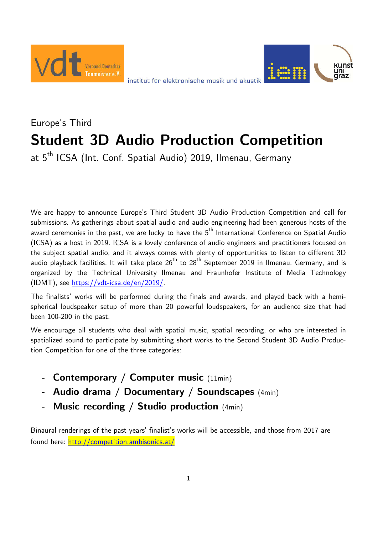



# Europe's Third **Student 3D Audio Production Competition**

at 5<sup>th</sup> ICSA (Int. Conf. Spatial Audio) 2019, Ilmenau, Germany

We are happy to announce Europe's Third Student 3D Audio Production Competition and call for submissions. As gatherings about spatial audio and audio engineering had been generous hosts of the award ceremonies in the past, we are lucky to have the 5<sup>th</sup> International Conference on Spatial Audio (ICSA) as a host in 2019. ICSA is a lovely conference of audio engineers and practitioners focused on the subject spatial audio, and it always comes with plenty of opportunities to listen to different 3D audio playback facilities. It will take place  $26<sup>th</sup>$  to  $28<sup>th</sup>$  September 2019 in Ilmenau, Germany, and is organized by the Technical University Ilmenau and Fraunhofer Institute of Media Technology (IDMT), see https://vdt-icsa.de/en/2019/.

The finalists' works will be performed during the finals and awards, and played back with a hemispherical loudspeaker setup of more than 20 powerful loudspeakers, for an audience size that had been 100-200 in the past.

We encourage all students who deal with spatial music, spatial recording, or who are interested in spatialized sound to participate by submitting short works to the Second Student 3D Audio Production Competition for one of the three categories:

- **Contemporary / Computer music** (11min)
- **Audio drama / Documentary / Soundscapes** (4min)
- **Music recording / Studio production** (4min)

Binaural renderings of the past years' finalist's works will be accessible, and those from 2017 are found here: http://competition.ambisonics.at/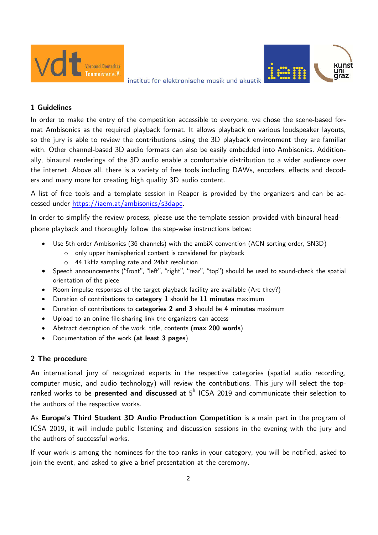

#### **1 Guidelines**

In order to make the entry of the competition accessible to everyone, we chose the scene-based format Ambisonics as the required playback format. It allows playback on various loudspeaker layouts, so the jury is able to review the contributions using the 3D playback environment they are familiar with. Other channel-based 3D audio formats can also be easily embedded into Ambisonics. Additionally, binaural renderings of the 3D audio enable a comfortable distribution to a wider audience over the internet. Above all, there is a variety of free tools including DAWs, encoders, effects and decoders and many more for creating high quality 3D audio content.

A list of free tools and a template session in Reaper is provided by the organizers and can be accessed under https://iaem.at/ambisonics/s3dapc.

In order to simplify the review process, please use the template session provided with binaural headphone playback and thoroughly follow the step-wise instructions below:

- Use 5th order Ambisonics (36 channels) with the ambiX convention (ACN sorting order, SN3D)
	- o only upper hemispherical content is considered for playback
	- o 44.1kHz sampling rate and 24bit resolution
- Speech announcements ("front", "left", "right", "rear", "top") should be used to sound-check the spatial orientation of the piece
- Room impulse responses of the target playback facility are available (Are they?)
- Duration of contributions to **category 1** should be **11 minutes** maximum
- Duration of contributions to **categories 2 and 3** should be **4 minutes** maximum
- Upload to an online file-sharing link the organizers can access
- Abstract description of the work, title, contents (**max 200 words**)
- Documentation of the work (**at least 3 pages**)

# **2 The procedure**

An international jury of recognized experts in the respective categories (spatial audio recording, computer music, and audio technology) will review the contributions. This jury will select the topranked works to be **presented and discussed** at 5<sup>h</sup> ICSA 2019 and communicate their selection to the authors of the respective works.

As **Europe's Third Student 3D Audio Production Competition** is a main part in the program of ICSA 2019, it will include public listening and discussion sessions in the evening with the jury and the authors of successful works.

If your work is among the nominees for the top ranks in your category, you will be notified, asked to join the event, and asked to give a brief presentation at the ceremony.